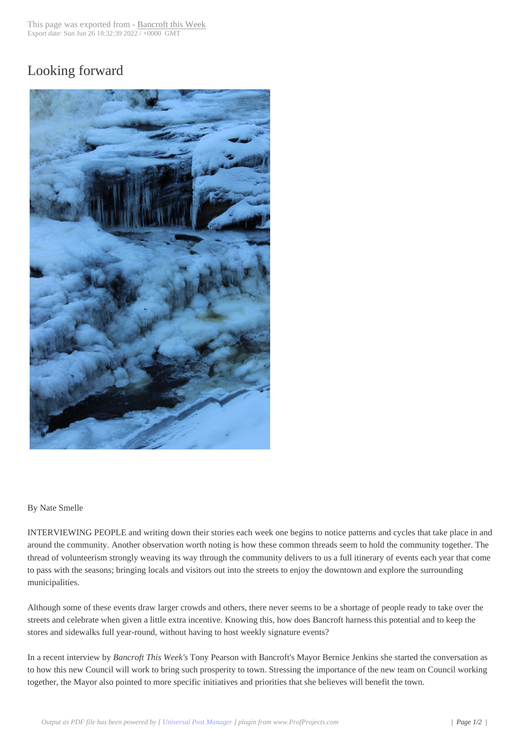## Looking forward



## By Nate Smelle

INTERVIEWING PEOPLE and writing down their stories each week one begins to notice patterns and cycles that take place in and around the community. Another observation worth noting is how these common threads seem to hold the community together. The thread of volunteerism strongly weaving its way through the community delivers to us a full itinerary of events each year that come to pass with the seasons; bringing locals and visitors out into the streets to enjoy the downtown and explore the surrounding municipalities.

Although some of these events draw larger crowds and others, there never seems to be a shortage of people ready to take over the streets and celebrate when given a little extra incentive. Knowing this, how does Bancroft harness this potential and to keep the stores and sidewalks full year-round, without having to host weekly signature events?

In a recent interview by *Bancroft This Week's* Tony Pearson with Bancroft's Mayor Bernice Jenkins she started the conversation as to how this new Council will work to bring such prosperity to town. Stressing the importance of the new team on Council working together, the Mayor also pointed to more specific initiatives and priorities that she believes will benefit the town.